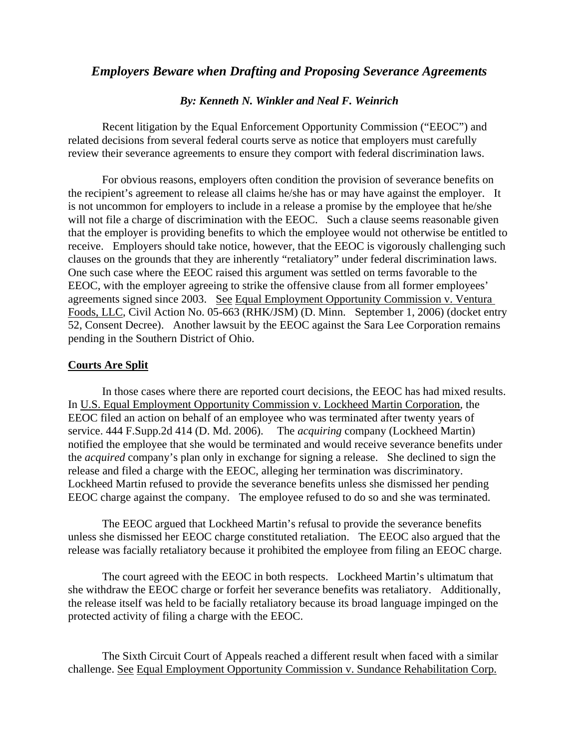## *Employers Beware when Drafting and Proposing Severance Agreements*

## *By: Kenneth N. Winkler and Neal F. Weinrich*

Recent litigation by the Equal Enforcement Opportunity Commission ("EEOC") and related decisions from several federal courts serve as notice that employers must carefully review their severance agreements to ensure they comport with federal discrimination laws.

For obvious reasons, employers often condition the provision of severance benefits on the recipient's agreement to release all claims he/she has or may have against the employer. It is not uncommon for employers to include in a release a promise by the employee that he/she will not file a charge of discrimination with the EEOC. Such a clause seems reasonable given that the employer is providing benefits to which the employee would not otherwise be entitled to receive. Employers should take notice, however, that the EEOC is vigorously challenging such clauses on the grounds that they are inherently "retaliatory" under federal discrimination laws. One such case where the EEOC raised this argument was settled on terms favorable to the EEOC, with the employer agreeing to strike the offensive clause from all former employees' agreements signed since 2003. See Equal Employment Opportunity Commission v. Ventura Foods, LLC, Civil Action No. 05-663 (RHK/JSM) (D. Minn. September 1, 2006) (docket entry 52, Consent Decree). Another lawsuit by the EEOC against the Sara Lee Corporation remains pending in the Southern District of Ohio.

## **Courts Are Split**

In those cases where there are reported court decisions, the EEOC has had mixed results. In U.S. Equal Employment Opportunity Commission v. Lockheed Martin Corporation, the EEOC filed an action on behalf of an employee who was terminated after twenty years of service. 444 F.Supp.2d 414 (D. Md. 2006). The *acquiring* company (Lockheed Martin) notified the employee that she would be terminated and would receive severance benefits under the *acquired* company's plan only in exchange for signing a release. She declined to sign the release and filed a charge with the EEOC, alleging her termination was discriminatory. Lockheed Martin refused to provide the severance benefits unless she dismissed her pending EEOC charge against the company. The employee refused to do so and she was terminated.

The EEOC argued that Lockheed Martin's refusal to provide the severance benefits unless she dismissed her EEOC charge constituted retaliation. The EEOC also argued that the release was facially retaliatory because it prohibited the employee from filing an EEOC charge.

The court agreed with the EEOC in both respects. Lockheed Martin's ultimatum that she withdraw the EEOC charge or forfeit her severance benefits was retaliatory. Additionally, the release itself was held to be facially retaliatory because its broad language impinged on the protected activity of filing a charge with the EEOC.

The Sixth Circuit Court of Appeals reached a different result when faced with a similar challenge. See Equal Employment Opportunity Commission v. Sundance Rehabilitation Corp.